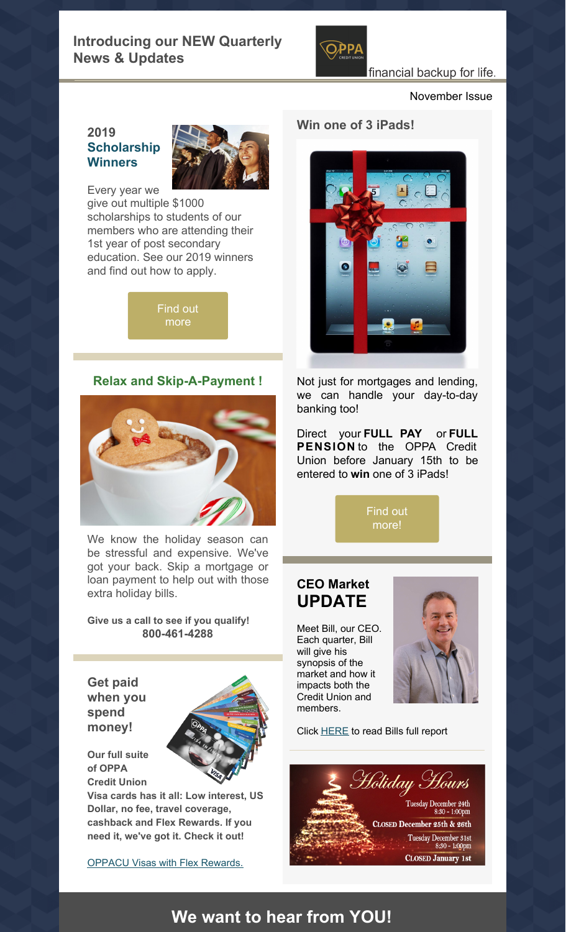

## financial backup for life.

November Issue

### **2019 [Scholarship](https://www.oppacu.com/wp-content/uploads/2019/10/2019-scholarship-flyer.pdf) Winners**



Every year we give out multiple \$1000 scholarships to students of our members who are attending their 1st year of post secondary education. See our 2019 winners and find out how to apply.

> Find out [more](https://www.oppacu.com/loans-credit-cards/scholarship-awards/)

## **Relax and Skip-A-Payment !**



We know the holiday season can be stressful and expensive. We've got your back. Skip a mortgage or loan payment to help out with those extra holiday bills.

**Give us a call to see if you qualify! 800-461-4288**

**Get paid when you spend money!**

**Our full suite of OPPA**



**Credit Union Visa cards has it all: Low interest, US Dollar, no fee, travel coverage, cashback and Flex Rewards. If you need it, we've got it. Check it out!**

[OPPACU](https://www.collabriacreditcards.ca/affiliate_ontario-provincial-police-association-credit-union/cards/) Visas with Flex Rewards.

#### **Win one of 3 iPads!**



Not just for mortgages and lending, we can handle your day-to-day banking too!

Direct your **FULL PAY** or **FULL PENSION** to the OPPA Credit Union before January 15th to be entered to **win** one of 3 iPads!

> Find out [more!](https://files.constantcontact.com/0a6b124e701/26101c0c-ab35-432b-b860-29b811954865.pdf)

## **CEO Market UPDATE**

Meet Bill, our CEO. Each quarter, Bill will give his synopsis of the market and how it impacts both the Credit Union and members.



Click [HERE](https://files.constantcontact.com/0a6b124e701/e80d501f-61ba-4c51-937c-59cefeb5515e.pdf) to read Bills full report



# **We want to hear from YOU!**